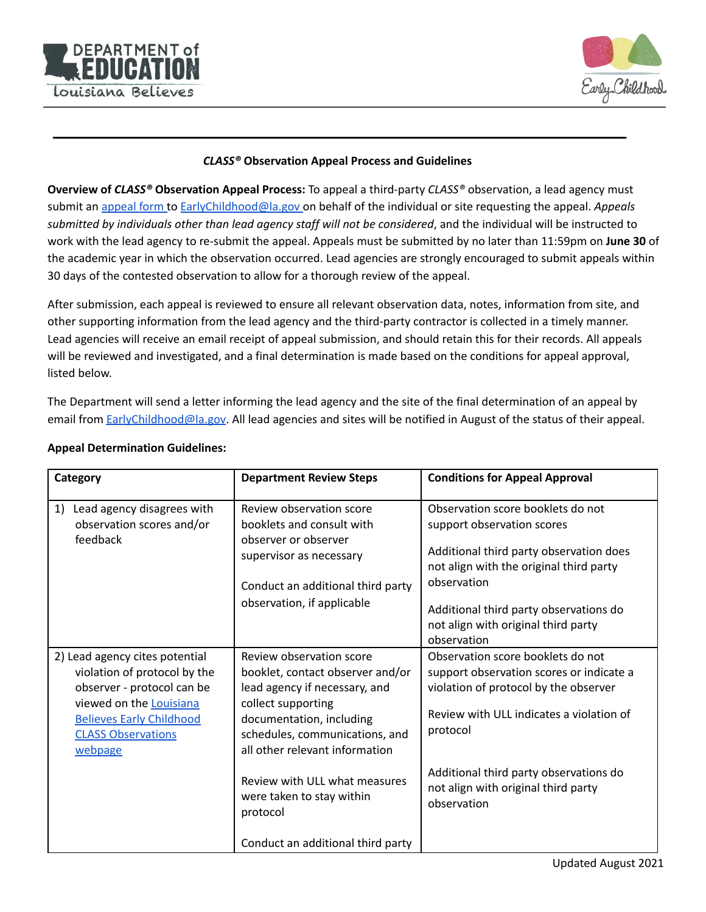



## *CLASS®* **Observation Appeal Process and Guidelines**

**Overview of** *CLASS®* **Observation Appeal Process:** To appeal a third-party *CLASS®* observation, a lead agency must submit an [appeal](https://form.jotform.com/211823899201154) form to [EarlyChildhood@la.gov](mailto:EarlyChildhood@la.gov) on behalf of the individual or site requesting the appeal. *Appeals submitted by individuals other than lead agency staff will not be considered*, and the individual will be instructed to work with the lead agency to re-submit the appeal. Appeals must be submitted by no later than 11:59pm on **June 30** of the academic year in which the observation occurred. Lead agencies are strongly encouraged to submit appeals within 30 days of the contested observation to allow for a thorough review of the appeal.

After submission, each appeal is reviewed to ensure all relevant observation data, notes, information from site, and other supporting information from the lead agency and the third-party contractor is collected in a timely manner. Lead agencies will receive an email receipt of appeal submission, and should retain this for their records. All appeals will be reviewed and investigated, and a final determination is made based on the conditions for appeal approval, listed below.

The Department will send a letter informing the lead agency and the site of the final determination of an appeal by email from [EarlyChildhood@la.gov](mailto:earlychildhood@la.gov). All lead agencies and sites will be notified in August of the status of their appeal.

| Review observation score<br>booklets and consult with<br>observer or observer<br>supervisor as necessary<br>Conduct an additional third party<br>observation, if applicable                                                                                                                   | Observation score booklets do not<br>support observation scores<br>Additional third party observation does<br>not align with the original third party<br>observation<br>Additional third party observations do<br>not align with original third party<br>observation           |
|-----------------------------------------------------------------------------------------------------------------------------------------------------------------------------------------------------------------------------------------------------------------------------------------------|--------------------------------------------------------------------------------------------------------------------------------------------------------------------------------------------------------------------------------------------------------------------------------|
| Review observation score<br>booklet, contact observer and/or<br>lead agency if necessary, and<br>collect supporting<br>documentation, including<br>schedules, communications, and<br>all other relevant information<br>Review with ULL what measures<br>were taken to stay within<br>protocol | Observation score booklets do not<br>support observation scores or indicate a<br>violation of protocol by the observer<br>Review with ULL indicates a violation of<br>protocol<br>Additional third party observations do<br>not align with original third party<br>observation |
|                                                                                                                                                                                                                                                                                               | Conduct an additional third party                                                                                                                                                                                                                                              |

## **Appeal Determination Guidelines:**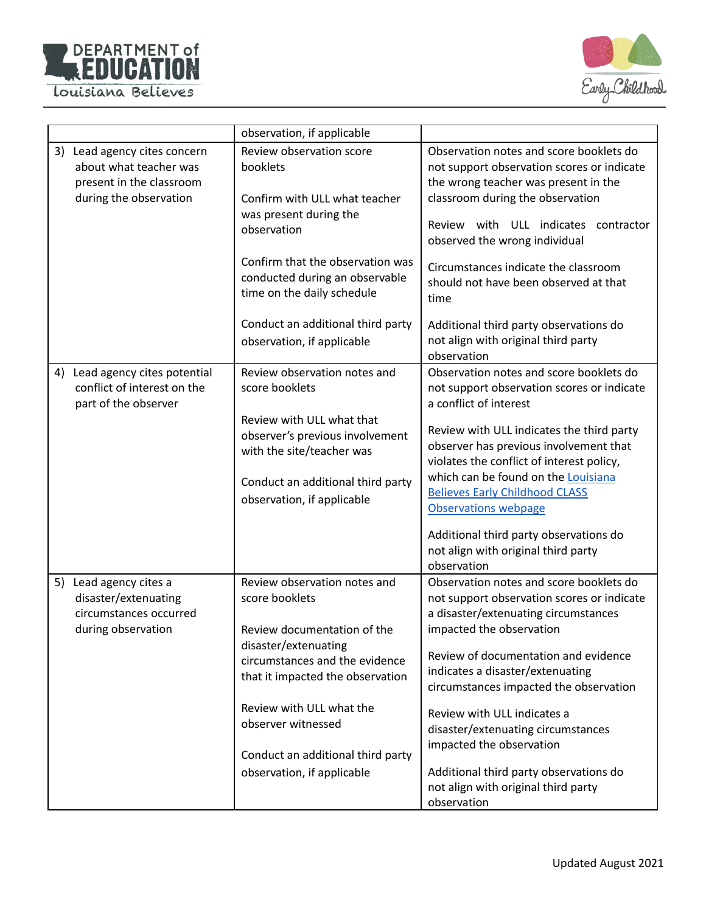



|                                                                                                                 | observation, if applicable                                                                                     |                                                                                                                                                                                                                                               |
|-----------------------------------------------------------------------------------------------------------------|----------------------------------------------------------------------------------------------------------------|-----------------------------------------------------------------------------------------------------------------------------------------------------------------------------------------------------------------------------------------------|
| 3)<br>Lead agency cites concern<br>about what teacher was<br>present in the classroom<br>during the observation | Review observation score<br>booklets<br>Confirm with ULL what teacher<br>was present during the<br>observation | Observation notes and score booklets do<br>not support observation scores or indicate<br>the wrong teacher was present in the<br>classroom during the observation<br>Review with ULL indicates<br>contractor<br>observed the wrong individual |
|                                                                                                                 | Confirm that the observation was<br>conducted during an observable<br>time on the daily schedule               | Circumstances indicate the classroom<br>should not have been observed at that<br>time                                                                                                                                                         |
|                                                                                                                 | Conduct an additional third party<br>observation, if applicable                                                | Additional third party observations do<br>not align with original third party<br>observation                                                                                                                                                  |
| Lead agency cites potential<br>4)<br>conflict of interest on the<br>part of the observer                        | Review observation notes and<br>score booklets                                                                 | Observation notes and score booklets do<br>not support observation scores or indicate<br>a conflict of interest                                                                                                                               |
|                                                                                                                 | Review with ULL what that<br>observer's previous involvement<br>with the site/teacher was                      | Review with ULL indicates the third party<br>observer has previous involvement that<br>violates the conflict of interest policy,<br>which can be found on the Louisiana                                                                       |
|                                                                                                                 | Conduct an additional third party<br>observation, if applicable                                                | <b>Believes Early Childhood CLASS</b><br><b>Observations webpage</b>                                                                                                                                                                          |
|                                                                                                                 |                                                                                                                | Additional third party observations do<br>not align with original third party<br>observation                                                                                                                                                  |
| Lead agency cites a<br>5)<br>disaster/extenuating<br>circumstances occurred<br>during observation               | Review observation notes and<br>score booklets<br>Review documentation of the                                  | Observation notes and score booklets do<br>not support observation scores or indicate<br>a disaster/extenuating circumstances<br>impacted the observation                                                                                     |
|                                                                                                                 | disaster/extenuating<br>circumstances and the evidence<br>that it impacted the observation                     | Review of documentation and evidence<br>indicates a disaster/extenuating<br>circumstances impacted the observation                                                                                                                            |
|                                                                                                                 | Review with ULL what the<br>observer witnessed                                                                 | Review with ULL indicates a<br>disaster/extenuating circumstances<br>impacted the observation                                                                                                                                                 |
|                                                                                                                 | Conduct an additional third party<br>observation, if applicable                                                | Additional third party observations do<br>not align with original third party<br>observation                                                                                                                                                  |